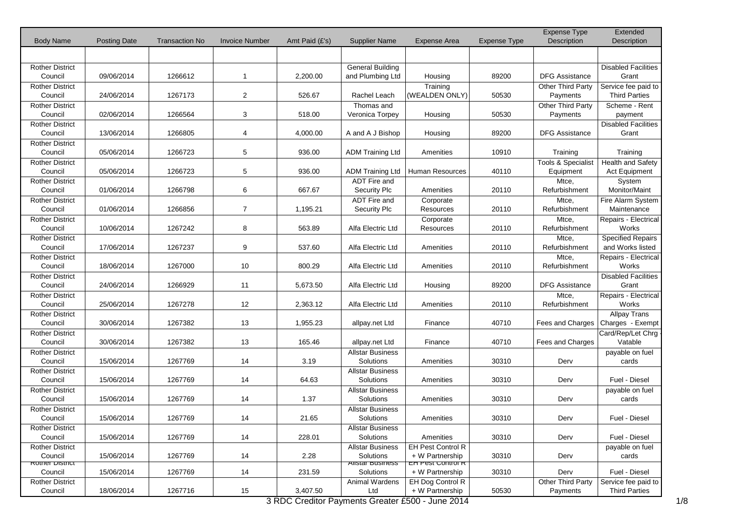|                                   |                     |                       |                       |                |                                      |                                                  |                     | Expense Type                   | Extended                             |
|-----------------------------------|---------------------|-----------------------|-----------------------|----------------|--------------------------------------|--------------------------------------------------|---------------------|--------------------------------|--------------------------------------|
| <b>Body Name</b>                  | <b>Posting Date</b> | <b>Transaction No</b> | <b>Invoice Number</b> | Amt Paid (£'s) | <b>Supplier Name</b>                 | Expense Area                                     | <b>Expense Type</b> | Description                    | Description                          |
|                                   |                     |                       |                       |                |                                      |                                                  |                     |                                |                                      |
| Rother District                   |                     |                       |                       |                | <b>General Building</b>              |                                                  |                     |                                | <b>Disabled Facilities</b>           |
| Council                           | 09/06/2014          | 1266612               | $\mathbf{1}$          | 2,200.00       | and Plumbing Ltd                     | Housing                                          | 89200               | <b>DFG Assistance</b>          | Grant                                |
| <b>Rother District</b>            |                     |                       |                       |                |                                      | Training                                         |                     | <b>Other Third Party</b>       | Service fee paid to                  |
| Council                           | 24/06/2014          | 1267173               | $\overline{2}$        | 526.67         | Rachel Leach                         | (WEALDEN ONLY)                                   | 50530               | Payments                       | <b>Third Parties</b>                 |
| <b>Rother District</b>            |                     |                       |                       |                | Thomas and                           |                                                  |                     | Other Third Party              | Scheme - Rent                        |
| Council                           | 02/06/2014          | 1266564               | 3                     | 518.00         | Veronica Torpey                      | Housing                                          | 50530               | Payments                       | payment                              |
| <b>Rother District</b>            |                     |                       |                       |                |                                      |                                                  |                     |                                | <b>Disabled Facilities</b>           |
| Council                           | 13/06/2014          | 1266805               | 4                     | 4,000.00       | A and A J Bishop                     | Housing                                          | 89200               | <b>DFG Assistance</b>          | Grant                                |
| <b>Rother District</b>            |                     |                       |                       |                |                                      |                                                  |                     |                                |                                      |
| Council<br><b>Rother District</b> | 05/06/2014          | 1266723               | $\overline{5}$        | 936.00         | <b>ADM Training Ltd</b>              | Amenities                                        | 10910               | Training<br>Tools & Specialist | Training<br><b>Health and Safety</b> |
| Council                           | 05/06/2014          | 1266723               | 5                     | 936.00         | <b>ADM Training Ltd</b>              | <b>Human Resources</b>                           | 40110               | Equipment                      | Act Equipment                        |
| <b>Rother District</b>            |                     |                       |                       |                | ADT Fire and                         |                                                  |                     | Mtce,                          | System                               |
| Council                           | 01/06/2014          | 1266798               | 6                     | 667.67         | Security Plc                         | Amenities                                        | 20110               | Refurbishment                  | Monitor/Maint                        |
| <b>Rother District</b>            |                     |                       |                       |                | ADT Fire and                         | Corporate                                        |                     | Mtce,                          | Fire Alarm System                    |
| Council                           | 01/06/2014          | 1266856               | $\overline{7}$        | 1,195.21       | Security Plc                         | Resources                                        | 20110               | Refurbishment                  | Maintenance                          |
| <b>Rother District</b>            |                     |                       |                       |                |                                      | Corporate                                        |                     | Mtce,                          | Repairs - Electrical                 |
| Council                           | 10/06/2014          | 1267242               | 8                     | 563.89         | Alfa Electric Ltd                    | <b>Resources</b>                                 | 20110               | Refurbishment                  | Works                                |
| <b>Rother District</b>            |                     |                       |                       |                |                                      |                                                  |                     | Mtce,                          | <b>Specified Repairs</b>             |
| Council                           | 17/06/2014          | 1267237               | 9                     | 537.60         | Alfa Electric Ltd                    | Amenities                                        | 20110               | Refurbishment                  | and Works listed                     |
| <b>Rother District</b>            |                     |                       |                       |                |                                      |                                                  |                     | Mtce,                          | Repairs - Electrical                 |
| Council                           | 18/06/2014          | 1267000               | 10                    | 800.29         | Alfa Electric Ltd                    | Amenities                                        | 20110               | Refurbishment                  | Works                                |
| <b>Rother District</b>            |                     |                       |                       |                |                                      |                                                  |                     |                                | <b>Disabled Facilities</b>           |
| Council                           | 24/06/2014          | 1266929               | 11                    | 5,673.50       | Alfa Electric Ltd                    | Housing                                          | 89200               | <b>DFG Assistance</b>          | Grant                                |
| <b>Rother District</b>            |                     |                       |                       |                |                                      |                                                  |                     | Mtce,                          | Repairs - Electrical                 |
| Council                           | 25/06/2014          | 1267278               | 12                    | 2,363.12       | Alfa Electric Ltd                    | Amenities                                        | 20110               | Refurbishment                  | Works                                |
| <b>Rother District</b>            |                     |                       |                       |                |                                      |                                                  |                     |                                | Allpay Trans                         |
| Council                           | 30/06/2014          | 1267382               | 13                    | 1,955.23       | allpay.net Ltd                       | Finance                                          | 40710               | Fees and Charges               | Charges - Exempt                     |
| <b>Rother District</b>            |                     |                       |                       |                |                                      |                                                  |                     |                                | Card/Rep/Let Chrg                    |
| Council                           | 30/06/2014          | 1267382               | 13                    | 165.46         | allpay.net Ltd                       | Finance                                          | 40710               | Fees and Charges               | Vatable                              |
| <b>Rother District</b>            |                     |                       |                       |                | <b>Allstar Business</b>              |                                                  |                     |                                | payable on fuel                      |
| Council                           | 15/06/2014          | 1267769               | 14                    | 3.19           | Solutions                            | Amenities                                        | 30310               | Derv                           | cards                                |
| <b>Rother District</b>            |                     |                       |                       |                | <b>Allstar Business</b>              |                                                  |                     |                                |                                      |
| Council                           | 15/06/2014          | 1267769               | 14                    | 64.63          | Solutions                            | Amenities                                        | 30310               | Derv                           | Fuel - Diesel                        |
| <b>Rother District</b>            |                     |                       |                       |                | <b>Allstar Business</b>              |                                                  |                     |                                | payable on fuel                      |
| Council                           | 15/06/2014          | 1267769               | 14                    | 1.37           | Solutions                            | Amenities                                        | 30310               | Derv                           | cards                                |
| <b>Rother District</b>            |                     |                       |                       |                | <b>Allstar Business</b>              |                                                  |                     |                                |                                      |
| Council                           | 15/06/2014          | 1267769               | 14                    | 21.65          | Solutions                            | Amenities                                        | 30310               | Derv                           | Fuel - Diesel                        |
| <b>Rother District</b><br>Council | 15/06/2014          | 1267769               | 14                    | 228.01         | <b>Allstar Business</b><br>Solutions | Amenities                                        | 30310               | Derv                           | Fuel - Diesel                        |
| <b>Rother District</b>            |                     |                       |                       |                | <b>Allstar Business</b>              | <b>EH Pest Control R</b>                         |                     |                                | payable on fuel                      |
| Council                           | 15/06/2014          | 1267769               | 14                    | 2.28           | Solutions                            | + W Partnership                                  | 30310               | Derv                           | cards                                |
| <b>Rother District</b>            |                     |                       |                       |                | <b>Allstar Business</b>              | <b>EH Pest Control R</b>                         |                     |                                |                                      |
| Council                           | 15/06/2014          | 1267769               | 14                    | 231.59         | Solutions                            | + W Partnership                                  | 30310               | Derv                           | Fuel - Diesel                        |
| <b>Rother District</b>            |                     |                       |                       |                | Animal Wardens                       | EH Dog Control R                                 |                     | Other Third Party              | Service fee paid to                  |
| Council                           | 18/06/2014          | 1267716               | 15                    | 3,407.50       | Ltd                                  | + W Partnership                                  | 50530               | Payments                       | <b>Third Parties</b>                 |
|                                   |                     |                       |                       |                |                                      | 3 RDC Creditor Payments Greater £500 - June 2014 |                     |                                |                                      |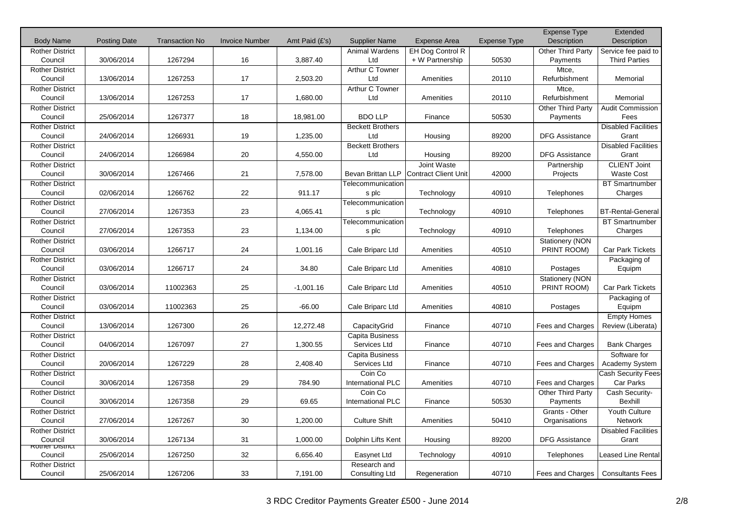|                        |                     |                       |                       |                  |                         |                             |              | <b>Expense Type</b>   | Extended                   |
|------------------------|---------------------|-----------------------|-----------------------|------------------|-------------------------|-----------------------------|--------------|-----------------------|----------------------------|
| <b>Body Name</b>       | <b>Posting Date</b> | <b>Transaction No</b> | <b>Invoice Number</b> | Amt Paid $(E's)$ | <b>Supplier Name</b>    | <b>Expense Area</b>         | Expense Type | Description           | <b>Description</b>         |
| <b>Rother District</b> |                     |                       |                       |                  | Animal Wardens          | EH Dog Control R            |              | Other Third Party     | Service fee paid to        |
| Council                | 30/06/2014          | 1267294               | 16                    | 3,887.40         | Ltd                     | + W Partnership             | 50530        | Payments              | <b>Third Parties</b>       |
| <b>Rother District</b> |                     |                       |                       |                  | Arthur C Towner         |                             |              | Mtce,                 |                            |
| Council                | 13/06/2014          | 1267253               | 17                    | 2,503.20         | Ltd                     | Amenities                   | 20110        | Refurbishment         | Memorial                   |
| <b>Rother District</b> |                     |                       |                       |                  | Arthur C Towner         |                             |              | Mtce,                 |                            |
| Council                | 13/06/2014          | 1267253               | 17                    | 1,680.00         | Ltd                     | Amenities                   | 20110        | Refurbishment         | Memorial                   |
| <b>Rother District</b> |                     |                       |                       |                  |                         |                             |              | Other Third Party     | <b>Audit Commission</b>    |
| Council                | 25/06/2014          | 1267377               | 18                    | 18,981.00        | <b>BDO LLP</b>          | Finance                     | 50530        | Payments              | Fees                       |
| <b>Rother District</b> |                     |                       |                       |                  | <b>Beckett Brothers</b> |                             |              |                       | <b>Disabled Facilities</b> |
| Council                | 24/06/2014          | 1266931               | 19                    | 1,235.00         | Ltd                     | Housing                     | 89200        | <b>DFG Assistance</b> | Grant                      |
| <b>Rother District</b> |                     |                       |                       |                  | <b>Beckett Brothers</b> |                             |              |                       | <b>Disabled Facilities</b> |
| Council                | 24/06/2014          | 1266984               | 20                    | 4.550.00         | Ltd                     | Housing                     | 89200        | <b>DFG Assistance</b> | Grant                      |
| <b>Rother District</b> |                     |                       |                       |                  |                         | Joint Waste                 |              | Partnership           | <b>CLIENT Joint</b>        |
| Council                | 30/06/2014          | 1267466               | 21                    | 7,578.00         | Bevan Brittan LLP       | <b>Contract Client Unit</b> | 42000        | Projects              | <b>Waste Cost</b>          |
| <b>Rother District</b> |                     |                       |                       |                  | Telecommunication       |                             |              |                       | <b>BT Smartnumber</b>      |
| Council                | 02/06/2014          | 1266762               | 22                    | 911.17           | s plc                   | Technology                  | 40910        | Telephones            | Charges                    |
| <b>Rother District</b> |                     |                       |                       |                  | Telecommunication       |                             |              |                       |                            |
| Council                | 27/06/2014          | 1267353               | 23                    | 4,065.41         | s plc                   | Technology                  | 40910        | Telephones            | <b>BT-Rental-General</b>   |
| <b>Rother District</b> |                     |                       |                       |                  | Telecommunication       |                             |              |                       | <b>BT Smartnumber</b>      |
| Council                | 27/06/2014          | 1267353               | 23                    | 1,134.00         | s plc                   | Technology                  | 40910        | Telephones            | Charges                    |
| <b>Rother District</b> |                     |                       |                       |                  |                         |                             |              | Stationery (NON       |                            |
| Council                | 03/06/2014          | 1266717               | 24                    | 1,001.16         | Cale Briparc Ltd        | Amenities                   | 40510        | PRINT ROOM)           | <b>Car Park Tickets</b>    |
| <b>Rother District</b> |                     |                       |                       |                  |                         |                             |              |                       | Packaging of               |
| Council                | 03/06/2014          | 1266717               | 24                    | 34.80            | Cale Briparc Ltd        | Amenities                   | 40810        | Postages              | Equipm                     |
| <b>Rother District</b> |                     |                       |                       |                  |                         |                             |              | Stationery (NON       |                            |
| Council                | 03/06/2014          | 11002363              | 25                    | $-1,001.16$      | Cale Briparc Ltd        | Amenities                   | 40510        | PRINT ROOM)           | Car Park Tickets           |
| <b>Rother District</b> |                     |                       |                       |                  |                         |                             |              |                       | Packaging of               |
| Council                | 03/06/2014          | 11002363              | 25                    | $-66.00$         | Cale Briparc Ltd        | Amenities                   | 40810        | Postages              | Equipm                     |
| <b>Rother District</b> |                     |                       |                       |                  |                         |                             |              |                       | <b>Empty Homes</b>         |
| Council                | 13/06/2014          | 1267300               | 26                    | 12,272.48        | CapacityGrid            | Finance                     | 40710        | Fees and Charges      | Review (Liberata)          |
| <b>Rother District</b> |                     |                       |                       |                  | Capita Business         |                             |              |                       |                            |
| Council                | 04/06/2014          | 1267097               | 27                    | 1,300.55         | Services Ltd            | Finance                     | 40710        | Fees and Charges      | <b>Bank Charges</b>        |
| <b>Rother District</b> |                     |                       |                       |                  | Capita Business         |                             |              |                       | Software for               |
| Council                | 20/06/2014          | 1267229               | 28                    | 2,408.40         | Services Ltd            | Finance                     | 40710        | Fees and Charges      | Academy System             |
| <b>Rother District</b> |                     |                       |                       |                  | Coin Co                 |                             |              |                       | Cash Security Fees-        |
| Council                | 30/06/2014          | 1267358               | 29                    | 784.90           | International PLC       | Amenities                   | 40710        | Fees and Charges      | Car Parks                  |
| <b>Rother District</b> |                     |                       |                       |                  | Coin Co                 |                             |              | Other Third Party     | Cash Security-             |
| Council                | 30/06/2014          | 1267358               | 29                    | 69.65            | International PLC       | Finance                     | 50530        | Payments              | Bexhill                    |
| <b>Rother District</b> |                     |                       |                       |                  |                         |                             |              | Grants - Other        | Youth Culture              |
| Council                | 27/06/2014          | 1267267               | 30                    | 1,200.00         | <b>Culture Shift</b>    | Amenities                   | 50410        | Organisations         | <b>Network</b>             |
| <b>Rother District</b> |                     |                       |                       |                  |                         |                             |              |                       | <b>Disabled Facilities</b> |
| Council                | 30/06/2014          | 1267134               | 31                    | 1,000.00         | Dolphin Lifts Kent      | Housing                     | 89200        | <b>DFG Assistance</b> | Grant                      |
| Rother District        |                     |                       |                       |                  |                         |                             |              |                       |                            |
| Council                | 25/06/2014          | 1267250               | 32                    | 6,656.40         | Easynet Ltd             | Technology                  | 40910        | Telephones            | <b>Leased Line Rental</b>  |
| <b>Rother District</b> |                     |                       |                       |                  | Research and            |                             |              |                       |                            |
| Council                | 25/06/2014          | 1267206               | 33                    | 7,191.00         | Consulting Ltd          | Regeneration                | 40710        | Fees and Charges      | <b>Consultants Fees</b>    |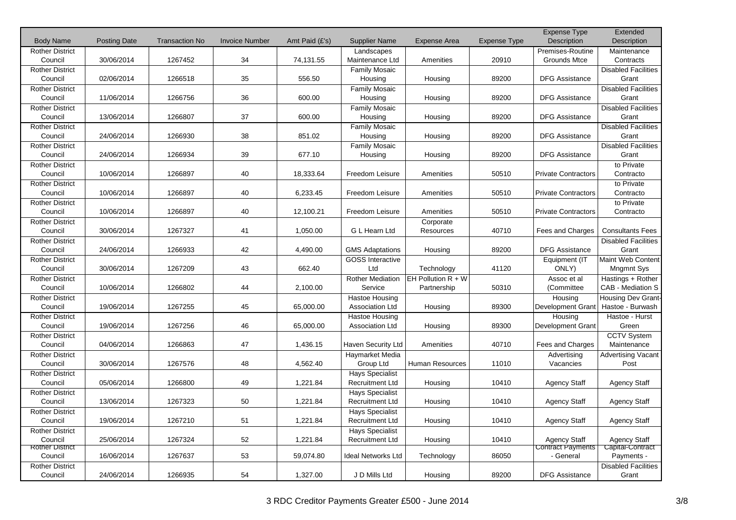|                        |                     |                       |                       |                |                           |                      |                     | <b>Expense Type</b>        | Extended                   |
|------------------------|---------------------|-----------------------|-----------------------|----------------|---------------------------|----------------------|---------------------|----------------------------|----------------------------|
| <b>Body Name</b>       | <b>Posting Date</b> | <b>Transaction No</b> | <b>Invoice Number</b> | Amt Paid (£'s) | <b>Supplier Name</b>      | <b>Expense Area</b>  | <b>Expense Type</b> | Description                | Description                |
| <b>Rother District</b> |                     |                       |                       |                | Landscapes                |                      |                     | Premises-Routine           | Maintenance                |
| Council                | 30/06/2014          | 1267452               | 34                    | 74,131.55      | Maintenance Ltd           | Amenities            | 20910               | <b>Grounds Mtce</b>        | Contracts                  |
| <b>Rother District</b> |                     |                       |                       |                | <b>Family Mosaic</b>      |                      |                     |                            | <b>Disabled Facilities</b> |
| Council                | 02/06/2014          | 1266518               | 35                    | 556.50         | Housing                   | Housing              | 89200               | <b>DFG Assistance</b>      | Grant                      |
| <b>Rother District</b> |                     |                       |                       |                | <b>Family Mosaic</b>      |                      |                     |                            | <b>Disabled Facilities</b> |
| Council                | 11/06/2014          | 1266756               | 36                    | 600.00         | Housing                   | Housing              | 89200               | <b>DFG Assistance</b>      | Grant                      |
| <b>Rother District</b> |                     |                       |                       |                | <b>Family Mosaic</b>      |                      |                     |                            | <b>Disabled Facilities</b> |
| Council                | 13/06/2014          | 1266807               | 37                    | 600.00         | Housing                   | Housing              | 89200               | <b>DFG Assistance</b>      | Grant                      |
| <b>Rother District</b> |                     |                       |                       |                | Family Mosaic             |                      |                     |                            | <b>Disabled Facilities</b> |
| Council                | 24/06/2014          | 1266930               | 38                    | 851.02         | Housing                   | Housing              | 89200               | <b>DFG Assistance</b>      | Grant                      |
| <b>Rother District</b> |                     |                       |                       |                | Family Mosaic             |                      |                     |                            | <b>Disabled Facilities</b> |
| Council                | 24/06/2014          | 1266934               | 39                    | 677.10         | Housing                   | Housing              | 89200               | <b>DFG Assistance</b>      | Grant                      |
| <b>Rother District</b> |                     |                       |                       |                |                           |                      |                     |                            | to Private                 |
| Council                | 10/06/2014          | 1266897               | 40                    | 18,333.64      | Freedom Leisure           | Amenities            | 50510               | <b>Private Contractors</b> | Contracto                  |
| <b>Rother District</b> |                     |                       |                       |                |                           |                      |                     |                            | to Private                 |
| Council                | 10/06/2014          | 1266897               | 40                    | 6,233.45       | Freedom Leisure           | Amenities            | 50510               | <b>Private Contractors</b> | Contracto                  |
| <b>Rother District</b> |                     |                       |                       |                |                           |                      |                     |                            | to Private                 |
| Council                | 10/06/2014          | 1266897               | 40                    | 12,100.21      | Freedom Leisure           | Amenities            | 50510               | <b>Private Contractors</b> | Contracto                  |
| <b>Rother District</b> |                     |                       |                       |                |                           | Corporate            |                     |                            |                            |
| Council                | 30/06/2014          | 1267327               | 41                    | 1,050.00       | G L Hearn Ltd             | Resources            | 40710               | Fees and Charges           | <b>Consultants Fees</b>    |
| <b>Rother District</b> |                     |                       |                       |                |                           |                      |                     |                            | <b>Disabled Facilities</b> |
| Council                | 24/06/2014          | 1266933               | 42                    | 4,490.00       | <b>GMS Adaptations</b>    | Housing              | 89200               | <b>DFG Assistance</b>      | Grant                      |
| <b>Rother District</b> |                     |                       |                       |                | <b>GOSS Interactive</b>   |                      |                     | Equipment (IT              | Maint Web Content          |
| Council                | 30/06/2014          | 1267209               | 43                    | 662.40         | Ltd                       | Technology           | 41120               | ONLY)                      | <b>Mngmnt Sys</b>          |
| <b>Rother District</b> |                     |                       |                       |                | <b>Rother Mediation</b>   | EH Pollution $R + W$ |                     | Assoc et al                | Hastings + Rother          |
| Council                | 10/06/2014          | 1266802               | 44                    | 2,100.00       | Service                   | Partnership          | 50310               | (Committee                 | CAB - Mediation S          |
| <b>Rother District</b> |                     |                       |                       |                | <b>Hastoe Housing</b>     |                      |                     | Housing                    | <b>Housing Dev Grant-</b>  |
| Council                | 19/06/2014          | 1267255               | 45                    | 65,000.00      | Association Ltd           | Housing              | 89300               | Development Grant          | Hastoe - Burwash           |
| <b>Rother District</b> |                     |                       |                       |                | <b>Hastoe Housing</b>     |                      |                     | Housing                    | Hastoe - Hurst             |
| Council                | 19/06/2014          | 1267256               | 46                    | 65,000.00      | <b>Association Ltd</b>    | Housing              | 89300               | Development Grant          | Green                      |
| <b>Rother District</b> |                     |                       |                       |                |                           |                      |                     |                            | <b>CCTV System</b>         |
| Council                | 04/06/2014          | 1266863               | 47                    | 1,436.15       | Haven Security Ltd        | Amenities            | 40710               | Fees and Charges           | Maintenance                |
| <b>Rother District</b> |                     |                       |                       |                | Haymarket Media           |                      |                     | Advertising                | Advertising Vacant         |
| Council                | 30/06/2014          | 1267576               | 48                    | 4,562.40       | Group Ltd                 | Human Resources      | 11010               | Vacancies                  | Post                       |
| <b>Rother District</b> |                     |                       |                       |                | <b>Hays Specialist</b>    |                      |                     |                            |                            |
| Council                | 05/06/2014          | 1266800               | 49                    | 1,221.84       | <b>Recruitment Ltd</b>    | Housing              | 10410               | <b>Agency Staff</b>        | <b>Agency Staff</b>        |
| <b>Rother District</b> |                     |                       |                       |                | <b>Hays Specialist</b>    |                      |                     |                            |                            |
| Council                | 13/06/2014          | 1267323               | 50                    | 1,221.84       | Recruitment Ltd           | Housing              | 10410               | <b>Agency Staff</b>        | <b>Agency Staff</b>        |
| <b>Rother District</b> |                     |                       |                       |                | <b>Hays Specialist</b>    |                      |                     |                            |                            |
| Council                | 19/06/2014          | 1267210               | 51                    | 1,221.84       | Recruitment Ltd           | Housing              | 10410               | <b>Agency Staff</b>        | <b>Agency Staff</b>        |
| <b>Rother District</b> |                     |                       |                       |                | <b>Hays Specialist</b>    |                      |                     |                            |                            |
| Council                | 25/06/2014          | 1267324               | 52                    | 1,221.84       | <b>Recruitment Ltd</b>    | Housing              | 10410               | <b>Agency Staff</b>        | <b>Agency Staff</b>        |
| <b>Rother District</b> |                     |                       |                       |                |                           |                      |                     | <b>Contract Payments</b>   | Capital-Contract           |
| Council                | 16/06/2014          | 1267637               | 53                    | 59,074.80      | <b>Ideal Networks Ltd</b> | Technology           | 86050               | - General                  | Payments -                 |
| <b>Rother District</b> |                     |                       |                       |                |                           |                      |                     |                            | <b>Disabled Facilities</b> |
| Council                | 24/06/2014          | 1266935               | 54                    | 1,327.00       | J D Mills Ltd             | Housing              | 89200               | <b>DFG Assistance</b>      | Grant                      |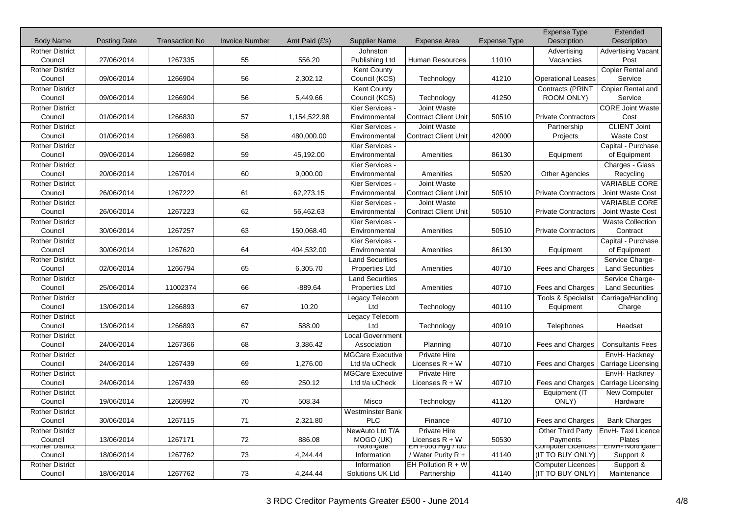|                                   |                     |                       |                       |                |                              |                                                   |                     | <b>Expense Type</b>           | Extended                                  |
|-----------------------------------|---------------------|-----------------------|-----------------------|----------------|------------------------------|---------------------------------------------------|---------------------|-------------------------------|-------------------------------------------|
| <b>Body Name</b>                  | <b>Posting Date</b> | <b>Transaction No</b> | <b>Invoice Number</b> | Amt Paid (£'s) | <b>Supplier Name</b>         | <b>Expense Area</b>                               | <b>Expense Type</b> | Description                   | <b>Description</b>                        |
| <b>Rother District</b>            |                     |                       |                       |                | <b>Johnston</b>              |                                                   |                     | Advertising                   | <b>Advertising Vacant</b>                 |
| Council                           | 27/06/2014          | 1267335               | 55                    | 556.20         | Publishing Ltd               | Human Resources                                   | 11010               | Vacancies                     | Post                                      |
| <b>Rother District</b>            |                     |                       |                       |                | <b>Kent County</b>           |                                                   |                     |                               | Copier Rental and                         |
| Council                           | 09/06/2014          | 1266904               | 56                    | 2,302.12       | Council (KCS)                | Technology                                        | 41210               | <b>Operational Leases</b>     | Service                                   |
| <b>Rother District</b>            |                     |                       |                       |                | <b>Kent County</b>           |                                                   |                     | Contracts (PRINT              | Copier Rental and                         |
| Council                           | 09/06/2014          | 1266904               | 56                    | 5,449.66       | Council (KCS)                | Technology                                        | 41250               | ROOM ONLY)                    | Service                                   |
| <b>Rother District</b>            |                     |                       |                       |                | Kier Services -              | Joint Waste                                       |                     |                               | <b>CORE Joint Waste</b>                   |
| Council                           | 01/06/2014          | 1266830               | 57                    | 1,154,522.98   | Environmental                | <b>Contract Client Unit</b>                       | 50510               | <b>Private Contractors</b>    | Cost                                      |
| <b>Rother District</b>            |                     |                       |                       |                | Kier Services -              | Joint Waste                                       |                     | Partnership                   | <b>CLIENT Joint</b>                       |
| Council                           | 01/06/2014          | 1266983               | 58                    | 480,000.00     | Environmental                | <b>Contract Client Unit</b>                       | 42000               | Projects                      | <b>Waste Cost</b>                         |
| <b>Rother District</b>            |                     |                       |                       |                | Kier Services -              |                                                   |                     |                               | Capital - Purchase                        |
| Council                           | 09/06/2014          | 1266982               | 59                    | 45,192.00      | Environmental                | Amenities                                         | 86130               | Equipment                     | of Equipment                              |
| <b>Rother District</b>            |                     |                       |                       |                | Kier Services -              |                                                   |                     |                               | Charges - Glass                           |
| Council                           | 20/06/2014          | 1267014               | 60                    | 9,000.00       | Environmental                | Amenities                                         | 50520               | <b>Other Agencies</b>         | Recycling                                 |
| <b>Rother District</b>            |                     |                       |                       |                | Kier Services -              | Joint Waste                                       |                     |                               | <b>VARIABLE CORE</b>                      |
| Council                           | 26/06/2014          | 1267222               | 61                    | 62,273.15      | Environmental                | <b>Contract Client Unit</b>                       | 50510               | <b>Private Contractors</b>    | Joint Waste Cost                          |
| <b>Rother District</b>            |                     |                       |                       |                | Kier Services -              | Joint Waste                                       |                     |                               | <b>VARIABLE CORE</b>                      |
| Council                           | 26/06/2014          | 1267223               | 62                    | 56,462.63      | Environmental                | <b>Contract Client Unit</b>                       | 50510               | <b>Private Contractors</b>    | Joint Waste Cost                          |
| <b>Rother District</b>            |                     |                       |                       |                | Kier Services -              |                                                   |                     |                               | <b>Waste Collection</b>                   |
| Council                           | 30/06/2014          | 1267257               | 63                    | 150,068.40     | Environmental                | Amenities                                         | 50510               | <b>Private Contractors</b>    | Contract                                  |
| <b>Rother District</b>            |                     |                       |                       |                | Kier Services -              |                                                   |                     |                               | Capital - Purchase                        |
| Council                           | 30/06/2014          | 1267620               | 64                    | 404,532.00     | Environmental                | Amenities                                         | 86130               | Equipment                     | of Equipment                              |
| <b>Rother District</b>            |                     |                       |                       |                | <b>Land Securities</b>       |                                                   |                     |                               | Service Charge-                           |
| Council                           | 02/06/2014          | 1266794               | 65                    | 6,305.70       | Properties Ltd               | Amenities                                         | 40710               | Fees and Charges              | <b>Land Securities</b>                    |
| <b>Rother District</b>            |                     |                       |                       |                | <b>Land Securities</b>       |                                                   |                     |                               | Service Charge-                           |
| Council                           | 25/06/2014          | 11002374              | 66                    | $-889.64$      | Properties Ltd               | Amenities                                         | 40710               | Fees and Charges              | <b>Land Securities</b>                    |
| <b>Rother District</b>            |                     |                       |                       |                | Legacy Telecom               |                                                   |                     | <b>Tools &amp; Specialist</b> | Carriage/Handling                         |
| Council                           | 13/06/2014          | 1266893               | 67                    | 10.20          | Ltd                          | Technology                                        | 40110               | Equipment                     | Charge                                    |
| <b>Rother District</b>            |                     |                       |                       |                | Legacy Telecom               |                                                   |                     |                               |                                           |
| Council                           | 13/06/2014          | 1266893               | 67                    | 588.00         | Ltd                          | Technology                                        | 40910               | Telephones                    | Headset                                   |
| <b>Rother District</b>            |                     |                       |                       |                | Local Government             |                                                   |                     |                               |                                           |
| Council                           | 24/06/2014          | 1267366               | 68                    | 3,386.42       | Association                  | Planning                                          | 40710               | Fees and Charges              | <b>Consultants Fees</b>                   |
| <b>Rother District</b>            |                     |                       |                       |                | <b>MGCare Executive</b>      | <b>Private Hire</b>                               |                     |                               | EnvH- Hackney                             |
| Council                           | 24/06/2014          | 1267439               | 69                    | 1,276.00       | Ltd t/a uCheck               | Licenses $R + W$                                  | 40710               | Fees and Charges              | Carriage Licensing                        |
| <b>Rother District</b>            |                     |                       |                       |                | <b>MGCare Executive</b>      | <b>Private Hire</b>                               |                     |                               | EnvH-Hackney                              |
| Council                           | 24/06/2014          | 1267439               | 69                    | 250.12         | Ltd t/a uCheck               | Licenses $R + W$                                  | 40710               | Fees and Charges              | Carriage Licensing                        |
| <b>Rother District</b>            |                     |                       |                       |                |                              |                                                   |                     | Equipment (IT                 | New Computer                              |
| Council                           | 19/06/2014          | 1266992               | 70                    | 508.34         | Misco                        | Technology                                        | 41120               | ONLY)                         | Hardware                                  |
| <b>Rother District</b>            |                     |                       |                       |                | <b>Westminster Bank</b>      |                                                   |                     |                               |                                           |
| Council                           | 30/06/2014          | 1267115               | 71                    | 2,321.80       | <b>PLC</b>                   | Finance                                           | 40710               | Fees and Charges              | <b>Bank Charges</b>                       |
| <b>Rother District</b>            |                     |                       |                       |                | NewAuto Ltd T/A              | <b>Private Hire</b>                               |                     | Other Third Party             | EnvH- Taxi Licence                        |
| Council<br><b>ROTHER DISTRICT</b> | 13/06/2014          | 1267171               | 72                    | 886.08         | MOGO (UK)<br><b>normgate</b> | Licenses $R + W$<br><del>EH FOOQ H</del> yg / Tac | 50530               | Payments<br>Computer Licences | <b>Plates</b><br><b>Envn-</b> ivortrigate |
| Council                           | 18/06/2014          | 1267762               | 73                    | 4,244.44       | Information                  | / Water Purity R +                                | 41140               | (IT TO BUY ONLY)              | Support &                                 |
| <b>Rother District</b>            |                     |                       |                       |                | Information                  | EH Pollution $R + W$                              |                     | <b>Computer Licences</b>      | Support &                                 |
| Council                           | 18/06/2014          | 1267762               | 73                    | 4,244.44       | Solutions UK Ltd             | Partnership                                       | 41140               | (IT TO BUY ONLY)              | Maintenance                               |
|                                   |                     |                       |                       |                |                              |                                                   |                     |                               |                                           |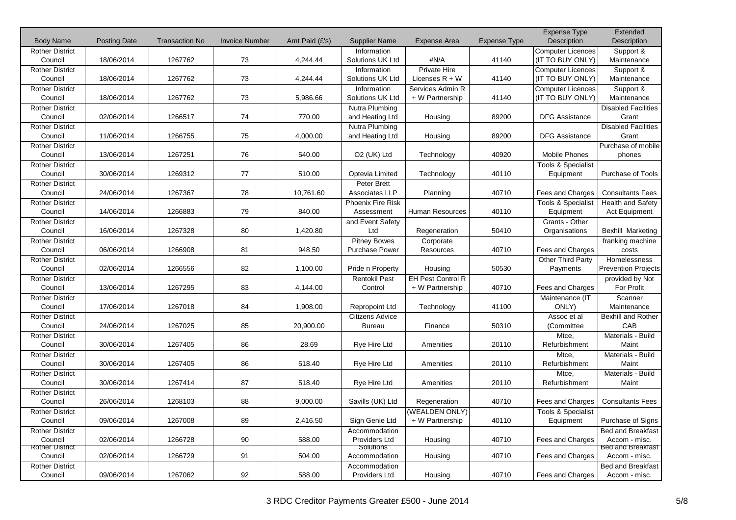|                                   |                     |                       |                       |                |                         |                          |                     | <b>Expense Type</b>             | Extended                           |
|-----------------------------------|---------------------|-----------------------|-----------------------|----------------|-------------------------|--------------------------|---------------------|---------------------------------|------------------------------------|
| <b>Body Name</b>                  | <b>Posting Date</b> | <b>Transaction No</b> | <b>Invoice Number</b> | Amt Paid (£'s) | <b>Supplier Name</b>    | <b>Expense Area</b>      | <b>Expense Type</b> | Description                     | Description                        |
| <b>Rother District</b>            |                     |                       |                       |                | Information             |                          |                     | Computer Licences               | Support &                          |
| Council                           | 18/06/2014          | 1267762               | 73                    | 4,244.44       | Solutions UK Ltd        | #N/A                     | 41140               | (IT TO BUY ONLY)                | Maintenance                        |
| <b>Rother District</b>            |                     |                       |                       |                | Information             | Private Hire             |                     | <b>Computer Licences</b>        | Support &                          |
| Council                           | 18/06/2014          | 1267762               | 73                    | 4,244.44       | Solutions UK Ltd        | Licenses $R + W$         | 41140               | (IT TO BUY ONLY)                | Maintenance                        |
| <b>Rother District</b>            |                     |                       |                       |                | Information             | Services Admin R         |                     | <b>Computer Licences</b>        | Support &                          |
| Council                           | 18/06/2014          | 1267762               | 73                    | 5,986.66       | Solutions UK Ltd        | + W Partnership          | 41140               | (IT TO BUY ONLY)                | Maintenance                        |
| <b>Rother District</b>            |                     |                       |                       |                | Nutra Plumbing          |                          |                     |                                 | <b>Disabled Facilities</b>         |
| Council                           | 02/06/2014          | 1266517               | 74                    | 770.00         | and Heating Ltd         | Housing                  | 89200               | <b>DFG Assistance</b>           | Grant                              |
| <b>Rother District</b>            |                     |                       | 75                    |                | Nutra Plumbing          |                          |                     |                                 | <b>Disabled Facilities</b>         |
| Council                           | 11/06/2014          | 1266755               |                       | 4,000.00       | and Heating Ltd         | Housing                  | 89200               | <b>DFG Assistance</b>           | Grant                              |
| <b>Rother District</b><br>Council | 13/06/2014          | 1267251               | 76                    | 540.00         | O <sub>2</sub> (UK) Ltd | Technology               | 40920               | <b>Mobile Phones</b>            | Purchase of mobile<br>phones       |
| <b>Rother District</b>            |                     |                       |                       |                |                         |                          |                     |                                 |                                    |
| Council                           | 30/06/2014          | 1269312               | 77                    | 510.00         | Optevia Limited         | Technology               | 40110               | Tools & Specialist<br>Equipment | Purchase of Tools                  |
| <b>Rother District</b>            |                     |                       |                       |                | Peter Brett             |                          |                     |                                 |                                    |
| Council                           | 24/06/2014          | 1267367               | 78                    | 10,761.60      | Associates LLP          | Planning                 | 40710               | Fees and Charges                | <b>Consultants Fees</b>            |
|                                   |                     |                       |                       |                | Phoenix Fire Risk       |                          |                     |                                 |                                    |
| <b>Rother District</b><br>Council | 14/06/2014          | 1266883               | 79                    | 840.00         | Assessment              | <b>Human Resources</b>   | 40110               | Tools & Specialist<br>Equipment | Health and Safety<br>Act Equipment |
| <b>Rother District</b>            |                     |                       |                       |                | and Event Safety        |                          |                     | Grants - Other                  |                                    |
| Council                           | 16/06/2014          | 1267328               | 80                    | 1,420.80       | Ltd                     | Regeneration             | 50410               | Organisations                   | <b>Bexhill Marketing</b>           |
| <b>Rother District</b>            |                     |                       |                       |                | <b>Pitney Bowes</b>     |                          |                     |                                 |                                    |
| Council                           | 06/06/2014          | 1266908               | 81                    | 948.50         | <b>Purchase Power</b>   | Corporate<br>Resources   | 40710               | Fees and Charges                | franking machine<br>costs          |
| <b>Rother District</b>            |                     |                       |                       |                |                         |                          |                     |                                 | Homelessness                       |
| Council                           | 02/06/2014          | 1266556               | 82                    | 1,100.00       | Pride n Property        | Housing                  | 50530               | Other Third Party<br>Payments   | <b>Prevention Projects</b>         |
| <b>Rother District</b>            |                     |                       |                       |                | <b>Rentokil Pest</b>    | <b>EH Pest Control R</b> |                     |                                 |                                    |
| Council                           | 13/06/2014          | 1267295               | 83                    | 4,144.00       | Control                 | + W Partnership          | 40710               | Fees and Charges                | provided by Not<br>For Profit      |
| <b>Rother District</b>            |                     |                       |                       |                |                         |                          |                     | Maintenance (IT                 | Scanner                            |
| Council                           | 17/06/2014          | 1267018               | 84                    | 1,908.00       | <b>Repropoint Ltd</b>   | Technology               | 41100               | ONLY)                           | Maintenance                        |
| <b>Rother District</b>            |                     |                       |                       |                | <b>Citizens Advice</b>  |                          |                     | Assoc et al                     | Bexhill and Rother                 |
| Council                           | 24/06/2014          | 1267025               | 85                    | 20,900.00      | <b>Bureau</b>           | Finance                  | 50310               | (Committee                      | CAB                                |
| <b>Rother District</b>            |                     |                       |                       |                |                         |                          |                     | Mtce,                           | Materials - Build                  |
| Council                           | 30/06/2014          | 1267405               | 86                    | 28.69          | Rye Hire Ltd            | Amenities                | 20110               | Refurbishment                   | Maint                              |
| <b>Rother District</b>            |                     |                       |                       |                |                         |                          |                     | Mtce,                           | Materials - Build                  |
| Council                           | 30/06/2014          | 1267405               | 86                    | 518.40         | Rye Hire Ltd            | Amenities                | 20110               | Refurbishment                   | Maint                              |
| <b>Rother District</b>            |                     |                       |                       |                |                         |                          |                     | Mtce,                           | Materials - Build                  |
| Council                           | 30/06/2014          | 1267414               | 87                    | 518.40         | Rye Hire Ltd            | Amenities                | 20110               | Refurbishment                   | Maint                              |
| <b>Rother District</b>            |                     |                       |                       |                |                         |                          |                     |                                 |                                    |
| Council                           | 26/06/2014          | 1268103               | 88                    | 9,000.00       | Savills (UK) Ltd        | Regeneration             | 40710               | Fees and Charges                | <b>Consultants Fees</b>            |
| <b>Rother District</b>            |                     |                       |                       |                |                         | (WEALDEN ONLY)           |                     | Tools & Specialist              |                                    |
| Council                           | 09/06/2014          | 1267008               | 89                    | 2,416.50       | Sign Genie Ltd          | + W Partnership          | 40110               | Equipment                       | Purchase of Signs                  |
| <b>Rother District</b>            |                     |                       |                       |                | Accommodation           |                          |                     |                                 | Bed and Breakfast                  |
| Council                           | 02/06/2014          | 1266728               | 90                    | 588.00         | Providers Ltd           | Housing                  | 40710               | Fees and Charges                | Accom - misc.                      |
| <b>Rother District</b>            |                     |                       |                       |                | Solutions               |                          |                     |                                 | Bed and Breakfast                  |
| Council                           | 02/06/2014          | 1266729               | 91                    | 504.00         | Accommodation           | Housing                  | 40710               | Fees and Charges                | Accom - misc.                      |
| <b>Rother District</b>            |                     |                       |                       |                | Accommodation           |                          |                     |                                 | <b>Bed and Breakfast</b>           |
| Council                           | 09/06/2014          | 1267062               | 92                    | 588.00         | Providers Ltd           | Housing                  | 40710               | Fees and Charges                | Accom - misc.                      |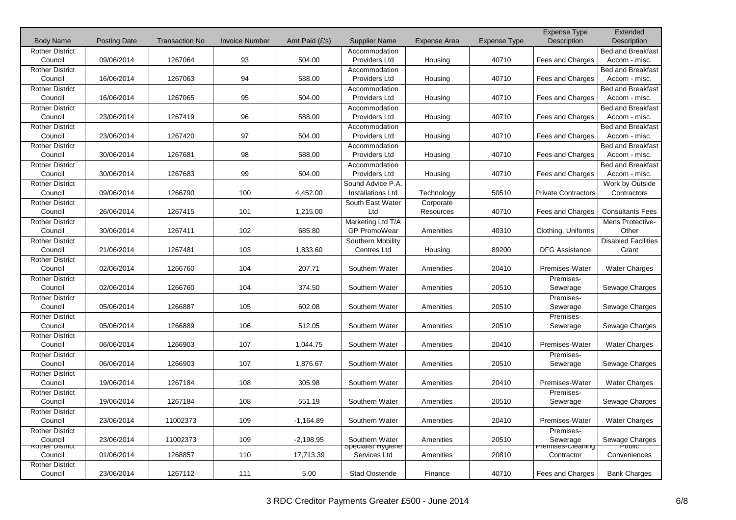|                                   |                     |                       |                       |                |                                |                     |                     | Expense Type               | Extended                                  |
|-----------------------------------|---------------------|-----------------------|-----------------------|----------------|--------------------------------|---------------------|---------------------|----------------------------|-------------------------------------------|
| <b>Body Name</b>                  | <b>Posting Date</b> | <b>Transaction No</b> | <b>Invoice Number</b> | Amt Paid (£'s) | <b>Supplier Name</b>           | <b>Expense Area</b> | <b>Expense Type</b> | Description                | Description                               |
| <b>Rother District</b>            |                     |                       |                       |                | Accommodation                  |                     |                     |                            | <b>Bed and Breakfast</b>                  |
| Council                           | 09/06/2014          | 1267064               | 93                    | 504.00         | Providers Ltd                  | Housing             | 40710               | Fees and Charges           | Accom - misc.                             |
| <b>Rother District</b><br>Council | 16/06/2014          | 1267063               | 94                    | 588.00         | Accommodation<br>Providers Ltd |                     | 40710               | <b>Fees and Charges</b>    | <b>Bed and Breakfast</b><br>Accom - misc. |
|                                   |                     |                       |                       |                |                                | Housing             |                     |                            |                                           |
| <b>Rother District</b><br>Council | 16/06/2014          | 1267065               | 95                    | 504.00         | Accommodation<br>Providers Ltd | Housing             | 40710               | Fees and Charges           | <b>Bed and Breakfast</b><br>Accom - misc. |
| <b>Rother District</b>            |                     |                       |                       |                |                                |                     |                     |                            |                                           |
| Council                           | 23/06/2014          | 1267419               | 96                    | 588.00         | Accommodation<br>Providers Ltd | Housing             | 40710               | Fees and Charges           | Bed and Breakfast<br>Accom - misc.        |
| <b>Rother District</b>            |                     |                       |                       |                | Accommodation                  |                     |                     |                            | <b>Bed and Breakfast</b>                  |
| Council                           | 23/06/2014          | 1267420               | 97                    | 504.00         | <b>Providers Ltd</b>           | Housing             | 40710               | Fees and Charges           | Accom - misc.                             |
| <b>Rother District</b>            |                     |                       |                       |                | Accommodation                  |                     |                     |                            | Bed and Breakfast                         |
| Council                           | 30/06/2014          | 1267681               | 98                    | 588.00         | Providers Ltd                  | Housing             | 40710               | Fees and Charges           | Accom - misc.                             |
| <b>Rother District</b>            |                     |                       |                       |                | Accommodation                  |                     |                     |                            | Bed and Breakfast                         |
| Council                           | 30/06/2014          | 1267683               | 99                    | 504.00         | Providers Ltd                  | Housing             | 40710               | Fees and Charges           | Accom - misc.                             |
| <b>Rother District</b>            |                     |                       |                       |                | Sound Advice P.A.              |                     |                     |                            | Work by Outside                           |
| Council                           | 09/06/2014          | 1266790               | 100                   | 4,452.00       | Installations Ltd              | Technology          | 50510               | <b>Private Contractors</b> | Contractors                               |
| <b>Rother District</b>            |                     |                       |                       |                | South East Water               | Corporate           |                     |                            |                                           |
| Council                           | 26/06/2014          | 1267415               | 101                   | 1,215.00       | Ltd                            | Resources           | 40710               | Fees and Charges           | <b>Consultants Fees</b>                   |
| <b>Rother District</b>            |                     |                       |                       |                | Marketing Ltd T/A              |                     |                     |                            | Mens Protective-                          |
| Council                           | 30/06/2014          | 1267411               | 102                   | 685.80         | GP PromoWear                   | Amenities           | 40310               | Clothing, Uniforms         | Other                                     |
| <b>Rother District</b>            |                     |                       |                       |                | Southern Mobility              |                     |                     |                            | <b>Disabled Facilities</b>                |
| Council                           | 21/06/2014          | 1267481               | 103                   | 1,833.60       | Centres Ltd                    | Housing             | 89200               | <b>DFG Assistance</b>      | Grant                                     |
| <b>Rother District</b>            |                     |                       |                       |                |                                |                     |                     |                            |                                           |
| Council                           | 02/06/2014          | 1266760               | 104                   | 207.71         | Southern Water                 | Amenities           | 20410               | Premises-Water             | <b>Water Charges</b>                      |
| <b>Rother District</b>            |                     |                       |                       |                |                                |                     |                     | Premises-                  |                                           |
| Council                           | 02/06/2014          | 1266760               | 104                   | 374.50         | Southern Water                 | Amenities           | 20510               | Sewerage                   | Sewage Charges                            |
| <b>Rother District</b>            |                     |                       |                       |                |                                |                     |                     | Premises-                  |                                           |
| Council                           | 05/06/2014          | 1266887               | 105                   | 602.08         | Southern Water                 | Amenities           | 20510               | Sewerage                   | Sewage Charges                            |
| <b>Rother District</b>            |                     |                       |                       |                |                                |                     |                     | Premises-                  |                                           |
| Council                           | 05/06/2014          | 1266889               | 106                   | 512.05         | Southern Water                 | Amenities           | 20510               | Sewerage                   | Sewage Charges                            |
| <b>Rother District</b>            |                     |                       |                       |                |                                |                     |                     |                            |                                           |
| Council                           | 06/06/2014          | 1266903               | 107                   | 1,044.75       | Southern Water                 | Amenities           | 20410               | Premises-Water             | <b>Water Charges</b>                      |
| <b>Rother District</b>            |                     |                       |                       |                |                                |                     |                     | Premises-                  |                                           |
| Council                           | 06/06/2014          | 1266903               | 107                   | 1,876.67       | Southern Water                 | Amenities           | 20510               | Sewerage                   | Sewage Charges                            |
| <b>Rother District</b>            |                     |                       |                       |                |                                |                     |                     |                            |                                           |
| Council                           | 19/06/2014          | 1267184               | 108                   | 305.98         | Southern Water                 | Amenities           | 20410               | Premises-Water             | <b>Water Charges</b>                      |
| <b>Rother District</b><br>Council | 19/06/2014          | 1267184               | 108                   | 551.19         | Southern Water                 | Amenities           | 20510               | Premises-                  | Sewage Charges                            |
| <b>Rother District</b>            |                     |                       |                       |                |                                |                     |                     | Sewerage                   |                                           |
| Council                           | 23/06/2014          | 11002373              | 109                   | $-1,164.89$    | Southern Water                 | Amenities           | 20410               | Premises-Water             | <b>Water Charges</b>                      |
| <b>Rother District</b>            |                     |                       |                       |                |                                |                     |                     | Premises-                  |                                           |
| Council                           | 23/06/2014          | 11002373              | 109                   | $-2,198.95$    | Southern Water                 | Amenities           | 20510               | Sewerage                   | Sewage Charges                            |
| <b>ROTHER DISTRICT</b>            |                     |                       |                       |                | <b>Specialist Hygiene</b>      |                     |                     | Premises-Creaning          | <del>Puolic</del>                         |
| Council                           | 01/06/2014          | 1268857               | 110                   | 17,713.39      | Services Ltd                   | Amenities           | 20810               | Contractor                 | Conveniences                              |
| <b>Rother District</b>            |                     |                       |                       |                |                                |                     |                     |                            |                                           |
| Council                           | 23/06/2014          | 1267112               | 111                   | 5.00           | <b>Stad Oostende</b>           | Finance             | 40710               | Fees and Charges           | <b>Bank Charges</b>                       |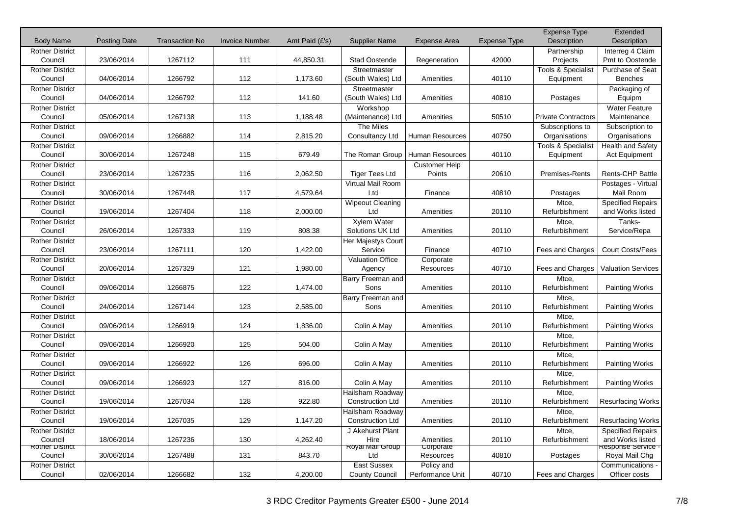|                                   |                     |                       |                       |                |                           |                                   |              | <b>Expense Type</b>           | Extended                  |
|-----------------------------------|---------------------|-----------------------|-----------------------|----------------|---------------------------|-----------------------------------|--------------|-------------------------------|---------------------------|
| <b>Body Name</b>                  | <b>Posting Date</b> | <b>Transaction No</b> | <b>Invoice Number</b> | Amt Paid (£'s) | <b>Supplier Name</b>      | <b>Expense Area</b>               | Expense Type | <b>Description</b>            | <b>Description</b>        |
| <b>Rother District</b>            |                     |                       |                       |                |                           |                                   |              | Partnership                   | Interreg 4 Claim          |
| Council                           | 23/06/2014          | 1267112               | 111                   | 44,850.31      | Stad Oostende             | Regeneration                      | 42000        | Projects                      | Pmt to Oostende           |
| <b>Rother District</b>            |                     |                       |                       |                | Streetmaster              |                                   |              | <b>Tools &amp; Specialist</b> | Purchase of Seat          |
| Council                           | 04/06/2014          | 1266792               | 112                   | 1,173.60       | (South Wales) Ltd         | Amenities                         | 40110        | Equipment                     | <b>Benches</b>            |
| <b>Rother District</b>            |                     |                       |                       |                | Streetmaster              |                                   |              |                               | Packaging of              |
| Council                           | 04/06/2014          | 1266792               | 112                   | 141.60         | (South Wales) Ltd         | Amenities                         | 40810        | Postages                      | Equipm                    |
| <b>Rother District</b>            |                     |                       |                       |                | Workshop                  |                                   |              |                               | <b>Water Feature</b>      |
| Council                           | 05/06/2014          | 1267138               | 113                   | 1,188.48       | (Maintenance) Ltd         | Amenities                         | 50510        | <b>Private Contractors</b>    | Maintenance               |
| <b>Rother District</b>            |                     |                       |                       |                | The Miles                 |                                   |              | Subscriptions to              | Subscription to           |
| Council                           | 09/06/2014          | 1266882               | 114                   | 2,815.20       | Consultancy Ltd           | Human Resources                   | 40750        | Organisations                 | Organisations             |
| <b>Rother District</b><br>Council | 30/06/2014          | 1267248               | 115                   | 679.49         |                           | The Roman Group   Human Resources | 40110        | <b>Tools &amp; Specialist</b> | Health and Safety         |
|                                   |                     |                       |                       |                |                           |                                   |              | Equipment                     | <b>Act Equipment</b>      |
| <b>Rother District</b><br>Council | 23/06/2014          | 1267235               | 116                   | 2,062.50       | <b>Tiger Tees Ltd</b>     | <b>Customer Help</b><br>Points    | 20610        | <b>Premises-Rents</b>         | <b>Rents-CHP Battle</b>   |
|                                   |                     |                       |                       |                | Virtual Mail Room         |                                   |              |                               | Postages - Virtual        |
| <b>Rother District</b><br>Council | 30/06/2014          | 1267448               | 117                   | 4,579.64       | Ltd                       | Finance                           | 40810        | Postages                      | Mail Room                 |
| <b>Rother District</b>            |                     |                       |                       |                | <b>Wipeout Cleaning</b>   |                                   |              | Mtce,                         | <b>Specified Repairs</b>  |
| Council                           | 19/06/2014          | 1267404               | 118                   | 2,000.00       | Ltd                       | Amenities                         | 20110        | Refurbishment                 | and Works listed          |
| <b>Rother District</b>            |                     |                       |                       |                | Xylem Water               |                                   |              | Mtce,                         | Tanks-                    |
| Council                           | 26/06/2014          | 1267333               | 119                   | 808.38         | Solutions UK Ltd          | Amenities                         | 20110        | Refurbishment                 | Service/Repa              |
| <b>Rother District</b>            |                     |                       |                       |                | <b>Her Majestys Court</b> |                                   |              |                               |                           |
| Council                           | 23/06/2014          | 1267111               | 120                   | 1,422.00       | Service                   | Finance                           | 40710        | Fees and Charges              | <b>Court Costs/Fees</b>   |
| <b>Rother District</b>            |                     |                       |                       |                | <b>Valuation Office</b>   | Corporate                         |              |                               |                           |
| Council                           | 20/06/2014          | 1267329               | 121                   | 1,980.00       | Agency                    | Resources                         | 40710        | Fees and Charges              | <b>Valuation Services</b> |
| <b>Rother District</b>            |                     |                       |                       |                | Barry Freeman and         |                                   |              | Mtce,                         |                           |
| Council                           | 09/06/2014          | 1266875               | 122                   | 1,474.00       | Sons                      | Amenities                         | 20110        | Refurbishment                 | <b>Painting Works</b>     |
| <b>Rother District</b>            |                     |                       |                       |                | Barry Freeman and         |                                   |              | Mtce,                         |                           |
| Council                           | 24/06/2014          | 1267144               | 123                   | 2,585.00       | Sons                      | Amenities                         | 20110        | Refurbishment                 | <b>Painting Works</b>     |
| <b>Rother District</b>            |                     |                       |                       |                |                           |                                   |              | Mtce,                         |                           |
| Council                           | 09/06/2014          | 1266919               | 124                   | 1,836.00       | Colin A May               | Amenities                         | 20110        | Refurbishment                 | <b>Painting Works</b>     |
| <b>Rother District</b>            |                     |                       |                       |                |                           |                                   |              | Mtce.                         |                           |
| Council                           | 09/06/2014          | 1266920               | 125                   | 504.00         | Colin A May               | Amenities                         | 20110        | Refurbishment                 | <b>Painting Works</b>     |
| <b>Rother District</b>            |                     |                       |                       |                |                           |                                   |              | Mtce,                         |                           |
| Council                           | 09/06/2014          | 1266922               | 126                   | 696.00         | Colin A May               | Amenities                         | 20110        | Refurbishment                 | <b>Painting Works</b>     |
| <b>Rother District</b>            |                     |                       |                       |                |                           |                                   |              | Mtce,                         |                           |
| Council                           | 09/06/2014          | 1266923               | 127                   | 816.00         | Colin A May               | Amenities                         | 20110        | Refurbishment                 | <b>Painting Works</b>     |
| <b>Rother District</b>            |                     |                       |                       |                | Hailsham Roadway          |                                   |              | Mtce,                         |                           |
| Council                           | 19/06/2014          | 1267034               | 128                   | 922.80         | <b>Construction Ltd</b>   | Amenities                         | 20110        | Refurbishment                 | <b>Resurfacing Works</b>  |
| <b>Rother District</b>            |                     |                       |                       |                | Hailsham Roadway          |                                   |              | Mtce,                         |                           |
| Council                           | 19/06/2014          | 1267035               | 129                   | 1,147.20       | <b>Construction Ltd</b>   | Amenities                         | 20110        | Refurbishment                 | <b>Resurfacing Works</b>  |
| <b>Rother District</b>            |                     |                       |                       |                | J Akehurst Plant          |                                   |              | Mtce,                         | <b>Specified Repairs</b>  |
| Council                           | 18/06/2014          | 1267236               | 130                   | 4,262.40       | Hire                      | Amenities                         | 20110        | Refurbishment                 | and Works listed          |
| <b>Rother District</b>            |                     |                       |                       |                | Royal Mail Group          | Corporate                         |              |                               | Response Service -        |
| Council                           | 30/06/2014          | 1267488               | 131                   | 843.70         | Ltd                       | Resources                         | 40810        | Postages                      | Royal Mail Chg            |
| <b>Rother District</b>            |                     |                       |                       |                | East Sussex               | Policy and                        |              |                               | Communications -          |
| Council                           | 02/06/2014          | 1266682               | 132                   | 4,200.00       | <b>County Council</b>     | Performance Unit                  | 40710        | Fees and Charges              | Officer costs             |